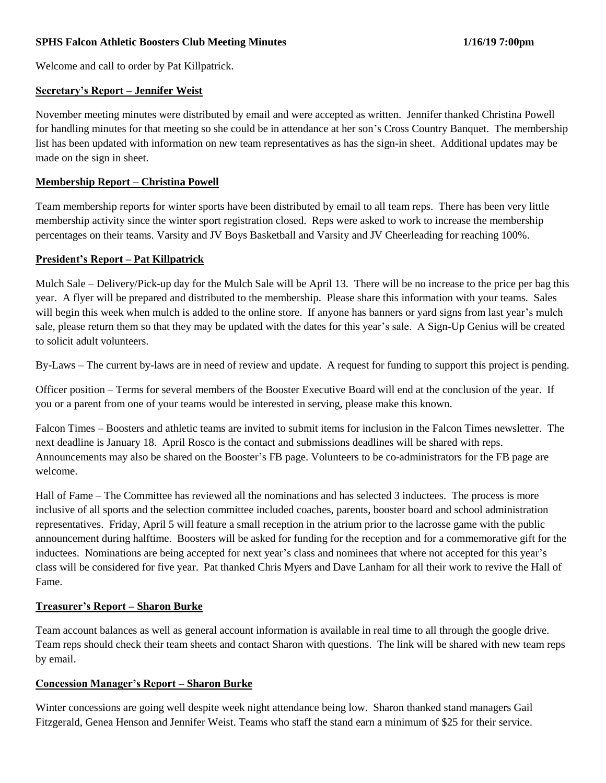Welcome and call to order by Pat Killpatrick.

### **Secretary's Report – Jennifer Weist**

November meeting minutes were distributed by email and were accepted as written. Jennifer thanked Christina Powell for handling minutes for that meeting so she could be in attendance at her son's Cross Country Banquet. The membership list has been updated with information on new team representatives as has the sign-in sheet. Additional updates may be made on the sign in sheet.

## **Membership Report – Christina Powell**

Team membership reports for winter sports have been distributed by email to all team reps. There has been very little membership activity since the winter sport registration closed. Reps were asked to work to increase the membership percentages on their teams. Varsity and JV Boys Basketball and Varsity and JV Cheerleading for reaching 100%.

## **President's Report – Pat Killpatrick**

Mulch Sale – Delivery/Pick-up day for the Mulch Sale will be April 13. There will be no increase to the price per bag this year. A flyer will be prepared and distributed to the membership. Please share this information with your teams. Sales will begin this week when mulch is added to the online store. If anyone has banners or yard signs from last year's mulch sale, please return them so that they may be updated with the dates for this year's sale. A Sign-Up Genius will be created to solicit adult volunteers.

By-Laws – The current by-laws are in need of review and update. A request for funding to support this project is pending.

Officer position – Terms for several members of the Booster Executive Board will end at the conclusion of the year. If you or a parent from one of your teams would be interested in serving, please make this known.

Falcon Times – Boosters and athletic teams are invited to submit items for inclusion in the Falcon Times newsletter. The next deadline is January 18. April Rosco is the contact and submissions deadlines will be shared with reps. Announcements may also be shared on the Booster's FB page. Volunteers to be co-administrators for the FB page are welcome.

Hall of Fame – The Committee has reviewed all the nominations and has selected 3 inductees. The process is more inclusive of all sports and the selection committee included coaches, parents, booster board and school administration representatives. Friday, April 5 will feature a small reception in the atrium prior to the lacrosse game with the public announcement during halftime. Boosters will be asked for funding for the reception and for a commemorative gift for the inductees. Nominations are being accepted for next year's class and nominees that where not accepted for this year's class will be considered for five year. Pat thanked Chris Myers and Dave Lanham for all their work to revive the Hall of Fame.

# **Treasurer's Report – Sharon Burke**

Team account balances as well as general account information is available in real time to all through the google drive. Team reps should check their team sheets and contact Sharon with questions. The link will be shared with new team reps by email.

#### **Concession Manager's Report – Sharon Burke**

Winter concessions are going well despite week night attendance being low. Sharon thanked stand managers Gail Fitzgerald, Genea Henson and Jennifer Weist. Teams who staff the stand earn a minimum of \$25 for their service.